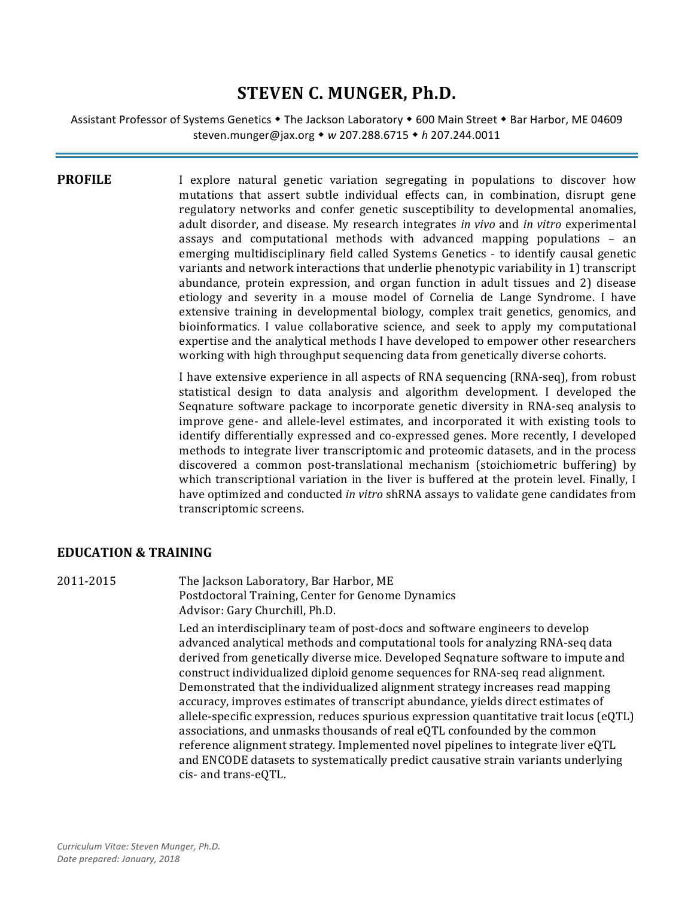# **STEVEN C. MUNGER, Ph.D.**

Assistant Professor of Systems Genetics  $\bullet$  The Jackson Laboratory  $\bullet$  600 Main Street  $\bullet$  Bar Harbor, ME 04609 steven.munger@jax.org ! *w* 207.288.6715 ! *h* 207.244.0011

**PROFILE** I explore natural genetic variation segregating in populations to discover how mutations that assert subtle individual effects can, in combination, disrupt gene regulatory networks and confer genetic susceptibility to developmental anomalies, adult disorder, and disease. My research integrates *in vivo* and *in vitro* experimental assays and computational methods with advanced mapping populations  $-$  an emerging multidisciplinary field called Systems Genetics - to identify causal genetic variants and network interactions that underlie phenotypic variability in 1) transcript abundance, protein expression, and organ function in adult tissues and 2) disease etiology and severity in a mouse model of Cornelia de Lange Syndrome. I have extensive training in developmental biology, complex trait genetics, genomics, and bioinformatics. I value collaborative science, and seek to apply my computational expertise and the analytical methods I have developed to empower other researchers working with high throughput sequencing data from genetically diverse cohorts.

> I have extensive experience in all aspects of RNA sequencing (RNA-seq), from robust statistical design to data analysis and algorithm development. I developed the Seqnature software package to incorporate genetic diversity in RNA-seq analysis to improve gene- and allele-level estimates, and incorporated it with existing tools to identify differentially expressed and co-expressed genes. More recently, I developed methods to integrate liver transcriptomic and proteomic datasets, and in the process discovered a common post-translational mechanism (stoichiometric buffering) by which transcriptional variation in the liver is buffered at the protein level. Finally, I have optimized and conducted *in vitro* shRNA assays to validate gene candidates from transcriptomic screens.

#### **EDUCATION & TRAINING**

2011-2015 The Jackson Laboratory, Bar Harbor, ME Postdoctoral Training, Center for Genome Dynamics Advisor: Gary Churchill, Ph.D.

> Led an interdisciplinary team of post-docs and software engineers to develop advanced analytical methods and computational tools for analyzing RNA-seq data derived from genetically diverse mice. Developed Seqnature software to impute and construct individualized diploid genome sequences for RNA-seq read alignment. Demonstrated that the individualized alignment strategy increases read mapping accuracy, improves estimates of transcript abundance, yields direct estimates of allele-specific expression, reduces spurious expression quantitative trait locus  $(eQTL)$ associations, and unmasks thousands of real eQTL confounded by the common reference alignment strategy. Implemented novel pipelines to integrate liver eQTL and ENCODE datasets to systematically predict causative strain variants underlying cis- and trans-eQTL.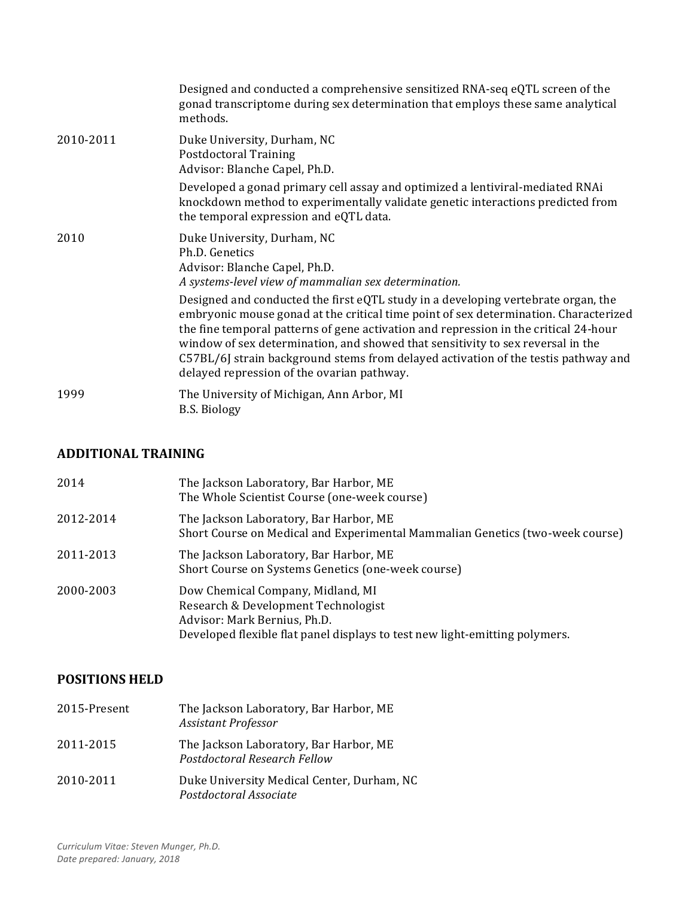|           | Designed and conducted a comprehensive sensitized RNA-seq eQTL screen of the<br>gonad transcriptome during sex determination that employs these same analytical<br>methods.                                                                                                                                                                                                                                                                                                              |
|-----------|------------------------------------------------------------------------------------------------------------------------------------------------------------------------------------------------------------------------------------------------------------------------------------------------------------------------------------------------------------------------------------------------------------------------------------------------------------------------------------------|
| 2010-2011 | Duke University, Durham, NC<br><b>Postdoctoral Training</b><br>Advisor: Blanche Capel, Ph.D.                                                                                                                                                                                                                                                                                                                                                                                             |
|           | Developed a gonad primary cell assay and optimized a lentiviral-mediated RNAi<br>knockdown method to experimentally validate genetic interactions predicted from<br>the temporal expression and eQTL data.                                                                                                                                                                                                                                                                               |
| 2010      | Duke University, Durham, NC<br>Ph.D. Genetics<br>Advisor: Blanche Capel, Ph.D.<br>A systems-level view of mammalian sex determination.                                                                                                                                                                                                                                                                                                                                                   |
|           | Designed and conducted the first eQTL study in a developing vertebrate organ, the<br>embryonic mouse gonad at the critical time point of sex determination. Characterized<br>the fine temporal patterns of gene activation and repression in the critical 24-hour<br>window of sex determination, and showed that sensitivity to sex reversal in the<br>C57BL/6J strain background stems from delayed activation of the testis pathway and<br>delayed repression of the ovarian pathway. |
| 1999      | The University of Michigan, Ann Arbor, MI<br><b>B.S. Biology</b>                                                                                                                                                                                                                                                                                                                                                                                                                         |

# **ADDITIONAL TRAINING**

| 2014      | The Jackson Laboratory, Bar Harbor, ME<br>The Whole Scientist Course (one-week course)                                                                                                  |
|-----------|-----------------------------------------------------------------------------------------------------------------------------------------------------------------------------------------|
| 2012-2014 | The Jackson Laboratory, Bar Harbor, ME<br>Short Course on Medical and Experimental Mammalian Genetics (two-week course)                                                                 |
| 2011-2013 | The Jackson Laboratory, Bar Harbor, ME<br>Short Course on Systems Genetics (one-week course)                                                                                            |
| 2000-2003 | Dow Chemical Company, Midland, MI<br>Research & Development Technologist<br>Advisor: Mark Bernius, Ph.D.<br>Developed flexible flat panel displays to test new light-emitting polymers. |

# **POSITIONS HELD**

| 2015-Present | The Jackson Laboratory, Bar Harbor, ME<br><b>Assistant Professor</b>   |
|--------------|------------------------------------------------------------------------|
| 2011-2015    | The Jackson Laboratory, Bar Harbor, ME<br>Postdoctoral Research Fellow |
| 2010-2011    | Duke University Medical Center, Durham, NC<br>Postdoctoral Associate   |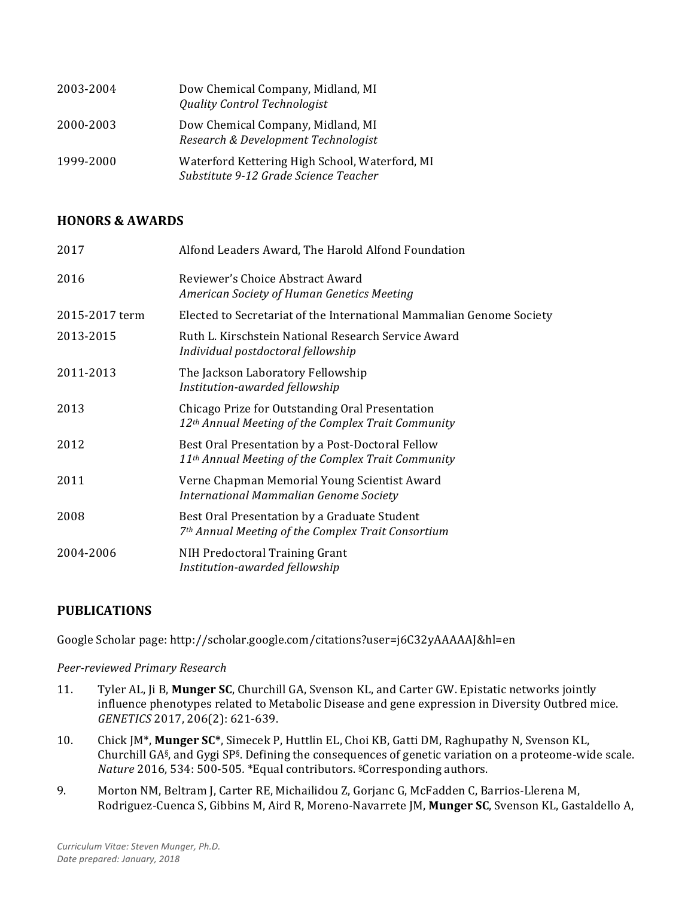| 2003-2004 | Dow Chemical Company, Midland, MI<br><b>Quality Control Technologist</b>                |
|-----------|-----------------------------------------------------------------------------------------|
| 2000-2003 | Dow Chemical Company, Midland, MI<br>Research & Development Technologist                |
| 1999-2000 | Waterford Kettering High School, Waterford, MI<br>Substitute 9-12 Grade Science Teacher |

## **HONORS & AWARDS**

| 2017           | Alfond Leaders Award, The Harold Alfond Foundation                                                                 |
|----------------|--------------------------------------------------------------------------------------------------------------------|
| 2016           | Reviewer's Choice Abstract Award<br>American Society of Human Genetics Meeting                                     |
| 2015-2017 term | Elected to Secretariat of the International Mammalian Genome Society                                               |
| 2013-2015      | Ruth L. Kirschstein National Research Service Award<br>Individual postdoctoral fellowship                          |
| 2011-2013      | The Jackson Laboratory Fellowship<br>Institution-awarded fellowship                                                |
| 2013           | Chicago Prize for Outstanding Oral Presentation<br>12 <sup>th</sup> Annual Meeting of the Complex Trait Community  |
| 2012           | Best Oral Presentation by a Post-Doctoral Fellow<br>11 <sup>th</sup> Annual Meeting of the Complex Trait Community |
| 2011           | Verne Chapman Memorial Young Scientist Award<br>International Mammalian Genome Society                             |
| 2008           | Best Oral Presentation by a Graduate Student<br>7 <sup>th</sup> Annual Meeting of the Complex Trait Consortium     |
| 2004-2006      | NIH Predoctoral Training Grant<br>Institution-awarded fellowship                                                   |

# **PUBLICATIONS**

Google Scholar page: http://scholar.google.com/citations?user=j6C32yAAAAAJ&hl=en

#### *Peer-reviewed Primary Research*

- 11. Tyler AL, Ji B, **Munger SC**, Churchill GA, Svenson KL, and Carter GW. Epistatic networks jointly influence phenotypes related to Metabolic Disease and gene expression in Diversity Outbred mice. *GENETICS* 2017, 206(2): 621-639.
- 10. Chick JM\*, **Munger SC\***, Simecek P, Huttlin EL, Choi KB, Gatti DM, Raghupathy N, Svenson KL, Churchill  $GA\$ <sub>5</sub>, and  $Gyg$  SP<sup>§</sup>. Defining the consequences of genetic variation on a proteome-wide scale. *Nature* 2016, 534: 500-505. \*Equal contributors. *§Corresponding authors.*
- 9. Morton NM, Beltram J, Carter RE, Michailidou Z, Gorjanc G, McFadden C, Barrios-Llerena M, Rodriguez-Cuenca S, Gibbins M, Aird R, Moreno-Navarrete JM, **Munger SC**, Svenson KL, Gastaldello A,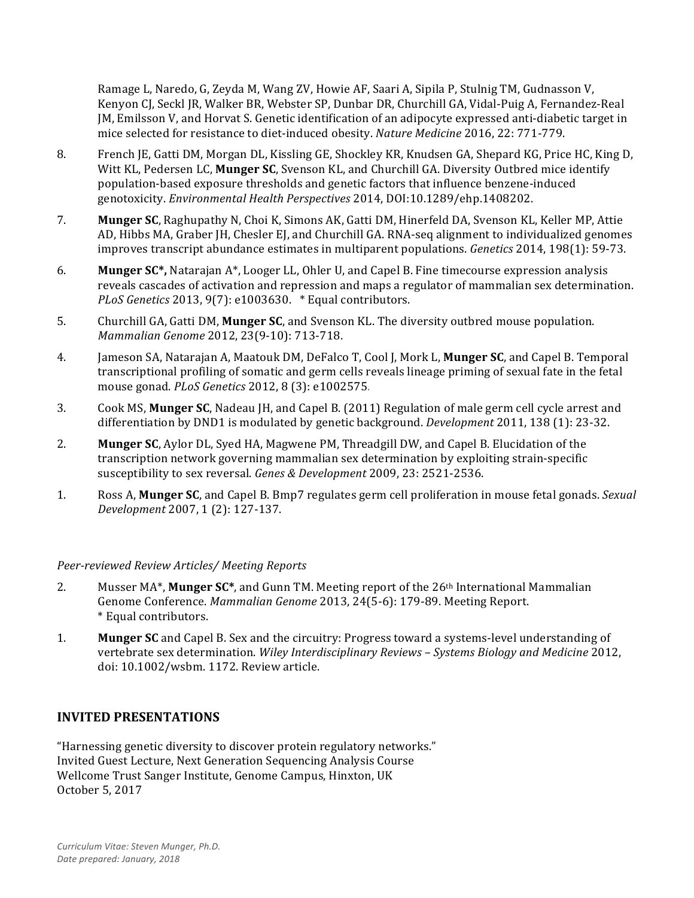Ramage L. Naredo, G. Zeyda M. Wang ZV, Howie AF, Saari A, Sipila P, Stulnig TM, Gudnasson V, Kenyon CJ, Seckl JR, Walker BR, Webster SP, Dunbar DR, Churchill GA, Vidal-Puig A, Fernandez-Real [M, Emilsson V, and Horvat S. Genetic identification of an adipocyte expressed anti-diabetic target in mice selected for resistance to diet-induced obesity. *Nature Medicine* 2016, 22: 771-779.

- 8. French JE, Gatti DM, Morgan DL, Kissling GE, Shockley KR, Knudsen GA, Shepard KG, Price HC, King D, Witt KL, Pedersen LC, **Munger SC**, Svenson KL, and Churchill GA. Diversity Outbred mice identify population-based exposure thresholds and genetic factors that influence benzene-induced genotoxicity. *Environmental Health Perspectives* 2014, DOI:10.1289/ehp.1408202.
- 7. **Munger SC**, Raghupathy N, Choi K, Simons AK, Gatti DM, Hinerfeld DA, Svenson KL, Keller MP, Attie AD, Hibbs MA, Graber JH, Chesler EJ, and Churchill GA. RNA-seq alignment to individualized genomes improves transcript abundance estimates in multiparent populations. *Genetics* 2014, 198(1): 59-73.
- 6. **Munger SC\*,** Natarajan A\*, Looger LL, Ohler U, and Capel B. Fine timecourse expression analysis reveals cascades of activation and repression and maps a regulator of mammalian sex determination. *PLoS Genetics* 2013, 9(7): e1003630. *\** Equal contributors.
- 5. Churchill GA, Gatti DM, Munger SC, and Svenson KL. The diversity outbred mouse population. *Mammalian Genome* 2012, 23(9-10): 713-718.
- 4. Jameson SA, Natarajan A, Maatouk DM, DeFalco T, Cool J, Mork L, **Munger SC**, and Capel B. Temporal transcriptional profiling of somatic and germ cells reveals lineage priming of sexual fate in the fetal mouse gonad. *PLoS Genetics* 2012, 8 (3): e1002575.
- 3. Cook MS, **Munger SC**, Nadeau JH, and Capel B. (2011) Regulation of male germ cell cycle arrest and differentiation by DND1 is modulated by genetic background. *Development* 2011, 138 (1): 23-32.
- 2. **Munger SC**, Aylor DL, Syed HA, Magwene PM, Threadgill DW, and Capel B. Elucidation of the transcription network governing mammalian sex determination by exploiting strain-specific susceptibility to sex reversal. *Genes & Development* 2009, 23: 2521-2536.
- 1. Ross A, **Munger SC**, and Capel B. Bmp7 regulates germ cell proliferation in mouse fetal gonads. *Sexual Development* 2007, 1 (2): 127-137.

#### *Peer-reviewed Review Articles/ Meeting Reports*

- 2. Musser MA<sup>\*</sup>, **Munger SC**<sup>\*</sup>, and Gunn TM. Meeting report of the 26<sup>th</sup> International Mammalian Genome Conference. Mammalian Genome 2013, 24(5-6): 179-89. Meeting Report. \* Equal contributors.
- 1. **Munger SC** and Capel B. Sex and the circuitry: Progress toward a systems-level understanding of vertebrate sex determination. *Wiley Interdisciplinary Reviews - Systems Biology and Medicine* 2012, doi: 10.1002/wsbm. 1172. Review article.

#### **INVITED PRESENTATIONS**

"Harnessing genetic diversity to discover protein regulatory networks." Invited Guest Lecture, Next Generation Sequencing Analysis Course Wellcome Trust Sanger Institute, Genome Campus, Hinxton, UK October 5, 2017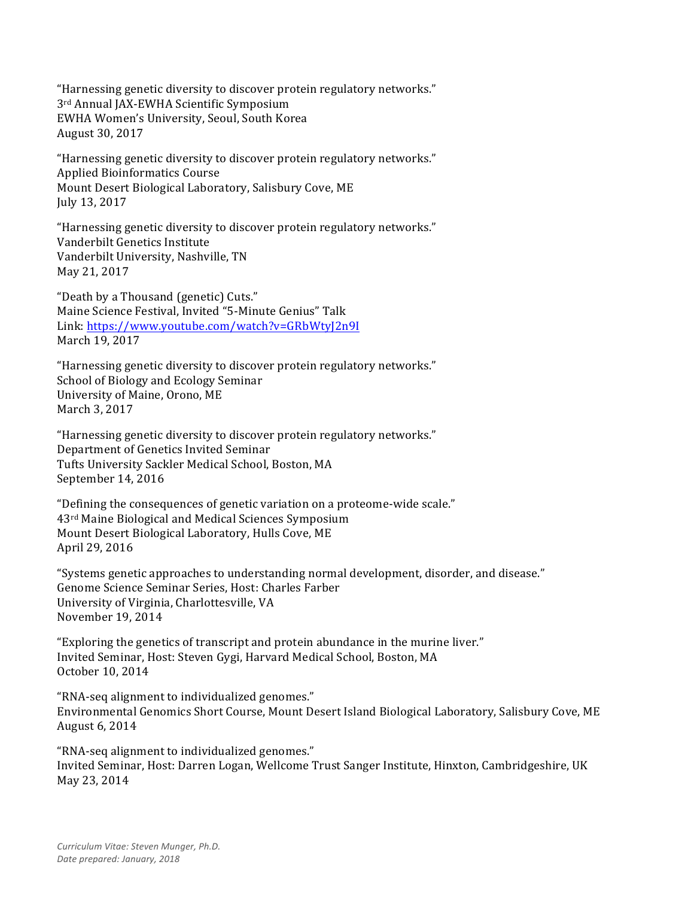"Harnessing genetic diversity to discover protein regulatory networks." 3<sup>rd</sup> Annual JAX-EWHA Scientific Symposium EWHA Women's University, Seoul, South Korea August 30, 2017

"Harnessing genetic diversity to discover protein regulatory networks." Applied Bioinformatics Course Mount Desert Biological Laboratory, Salisbury Cove, ME July 13, 2017

"Harnessing genetic diversity to discover protein regulatory networks." Vanderbilt Genetics Institute Vanderbilt University, Nashville, TN May 21, 2017

"Death by a Thousand (genetic) Cuts." Maine Science Festival, Invited "5-Minute Genius" Talk Link: https://www.youtube.com/watch?v=GRbWtyJ2n9I March 19, 2017

"Harnessing genetic diversity to discover protein regulatory networks." School of Biology and Ecology Seminar University of Maine, Orono, ME March 3, 2017

"Harnessing genetic diversity to discover protein regulatory networks." Department of Genetics Invited Seminar Tufts University Sackler Medical School, Boston, MA September 14, 2016

"Defining the consequences of genetic variation on a proteome-wide scale." 43<sup>rd</sup> Maine Biological and Medical Sciences Symposium Mount Desert Biological Laboratory, Hulls Cove, ME April 29, 2016

"Systems genetic approaches to understanding normal development, disorder, and disease." Genome Science Seminar Series, Host: Charles Farber University of Virginia, Charlottesville, VA November 19, 2014

"Exploring the genetics of transcript and protein abundance in the murine liver." Invited Seminar, Host: Steven Gygi, Harvard Medical School, Boston, MA October 10, 2014

"RNA-seq alignment to individualized genomes." Environmental Genomics Short Course, Mount Desert Island Biological Laboratory, Salisbury Cove, ME August 6, 2014

"RNA-seq alignment to individualized genomes." Invited Seminar, Host: Darren Logan, Wellcome Trust Sanger Institute, Hinxton, Cambridgeshire, UK May 23, 2014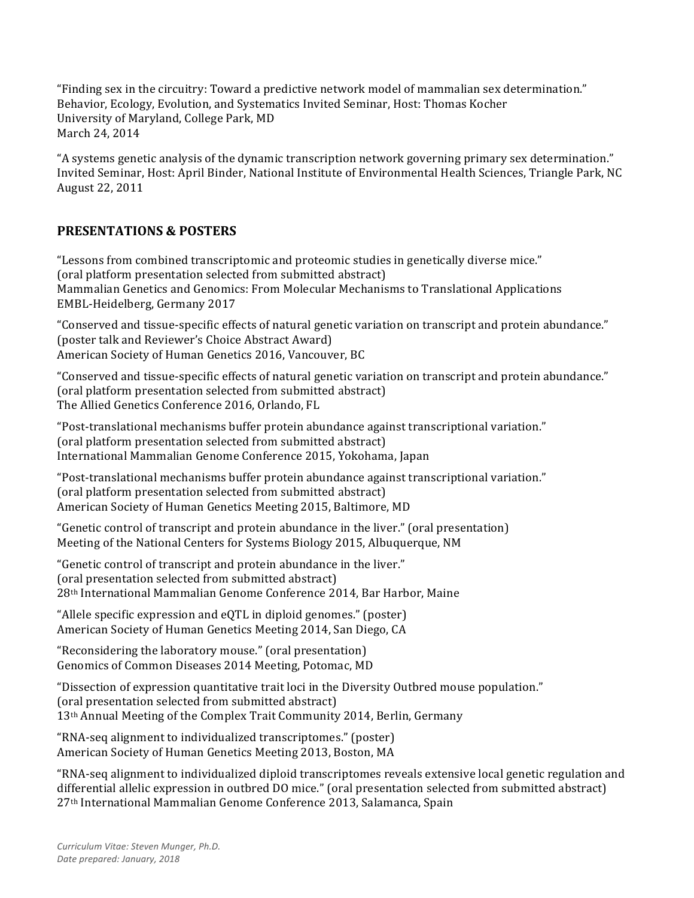"Finding sex in the circuitry: Toward a predictive network model of mammalian sex determination." Behavior, Ecology, Evolution, and Systematics Invited Seminar, Host: Thomas Kocher University of Maryland, College Park, MD March 24, 2014

"A systems genetic analysis of the dynamic transcription network governing primary sex determination." Invited Seminar, Host: April Binder, National Institute of Environmental Health Sciences, Triangle Park, NC August 22, 2011

# **PRESENTATIONS & POSTERS**

"Lessons from combined transcriptomic and proteomic studies in genetically diverse mice." (oral platform presentation selected from submitted abstract) Mammalian Genetics and Genomics: From Molecular Mechanisms to Translational Applications EMBL-Heidelberg, Germany 2017

"Conserved and tissue-specific effects of natural genetic variation on transcript and protein abundance." (poster talk and Reviewer's Choice Abstract Award) American Society of Human Genetics 2016, Vancouver, BC

"Conserved and tissue-specific effects of natural genetic variation on transcript and protein abundance." (oral platform presentation selected from submitted abstract) The Allied Genetics Conference 2016, Orlando, FL

"Post-translational mechanisms buffer protein abundance against transcriptional variation." (oral platform presentation selected from submitted abstract) International Mammalian Genome Conference 2015, Yokohama, Japan

"Post-translational mechanisms buffer protein abundance against transcriptional variation." (oral platform presentation selected from submitted abstract) American Society of Human Genetics Meeting 2015, Baltimore, MD

"Genetic control of transcript and protein abundance in the liver." (oral presentation) Meeting of the National Centers for Systems Biology 2015, Albuquerque, NM

"Genetic control of transcript and protein abundance in the liver." (oral presentation selected from submitted abstract) 28<sup>th</sup> International Mammalian Genome Conference 2014, Bar Harbor, Maine

"Allele specific expression and  $eQTL$  in diploid genomes." (poster) American Society of Human Genetics Meeting 2014, San Diego, CA

"Reconsidering the laboratory mouse." (oral presentation) Genomics of Common Diseases 2014 Meeting, Potomac, MD

"Dissection of expression quantitative trait loci in the Diversity Outbred mouse population." (oral presentation selected from submitted abstract) 13<sup>th</sup> Annual Meeting of the Complex Trait Community 2014, Berlin, Germany

"RNA-seq alignment to individualized transcriptomes." (poster) American Society of Human Genetics Meeting 2013, Boston, MA

"RNA-seq alignment to individualized diploid transcriptomes reveals extensive local genetic regulation and differential allelic expression in outbred DO mice." (oral presentation selected from submitted abstract) 27<sup>th</sup> International Mammalian Genome Conference 2013, Salamanca, Spain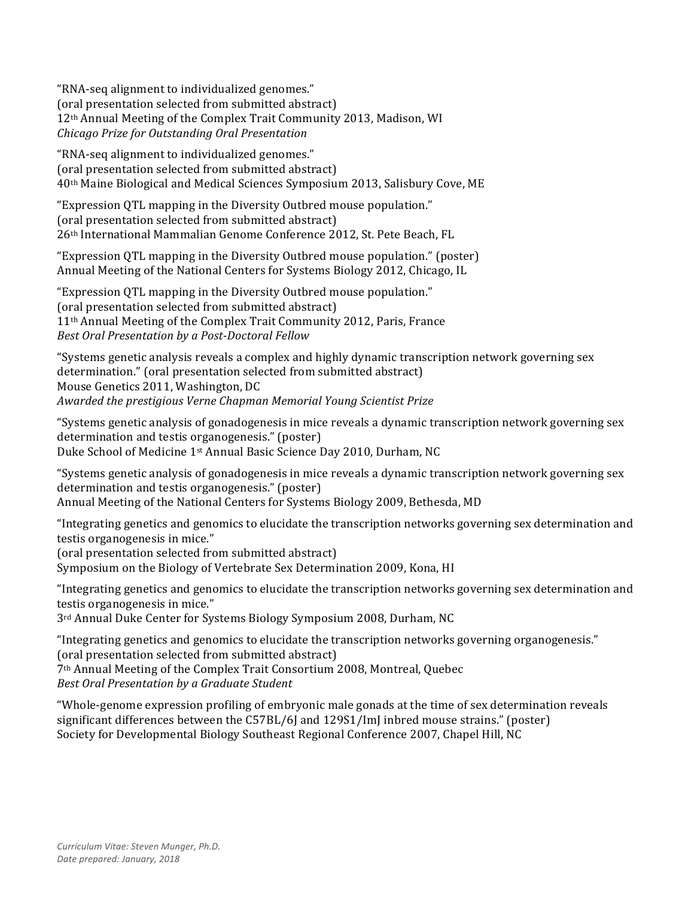"RNA-seq alignment to individualized genomes." (oral presentation selected from submitted abstract) 12<sup>th</sup> Annual Meeting of the Complex Trait Community 2013, Madison, WI *Chicago Prize for Outstanding Oral Presentation*

"RNA-seq alignment to individualized genomes." (oral presentation selected from submitted abstract) 40<sup>th</sup> Maine Biological and Medical Sciences Symposium 2013, Salisbury Cove, ME

"Expression QTL mapping in the Diversity Outbred mouse population." (oral presentation selected from submitted abstract) 26<sup>th</sup> International Mammalian Genome Conference 2012, St. Pete Beach, FL

"Expression QTL mapping in the Diversity Outbred mouse population." (poster) Annual Meeting of the National Centers for Systems Biology 2012, Chicago, IL

"Expression QTL mapping in the Diversity Outbred mouse population." (oral presentation selected from submitted abstract) 11<sup>th</sup> Annual Meeting of the Complex Trait Community 2012, Paris, France *Best Oral Presentation by a Post-Doctoral Fellow*

"Systems genetic analysis reveals a complex and highly dynamic transcription network governing sex determination." (oral presentation selected from submitted abstract) Mouse Genetics 2011, Washington, DC *Awarded the prestigious Verne Chapman Memorial Young Scientist Prize*

"Systems genetic analysis of gonadogenesis in mice reveals a dynamic transcription network governing sex determination and testis organogenesis." (poster) Duke School of Medicine 1<sup>st</sup> Annual Basic Science Day 2010, Durham, NC

"Systems genetic analysis of gonadogenesis in mice reveals a dynamic transcription network governing sex determination and testis organogenesis." (poster) Annual Meeting of the National Centers for Systems Biology 2009, Bethesda, MD

"Integrating genetics and genomics to elucidate the transcription networks governing sex determination and testis organogenesis in mice."

(oral presentation selected from submitted abstract)

Symposium on the Biology of Vertebrate Sex Determination 2009, Kona, HI

"Integrating genetics and genomics to elucidate the transcription networks governing sex determination and testis organogenesis in mice."

3<sup>rd</sup> Annual Duke Center for Systems Biology Symposium 2008, Durham, NC

"Integrating genetics and genomics to elucidate the transcription networks governing organogenesis." (oral presentation selected from submitted abstract) 7<sup>th</sup> Annual Meeting of the Complex Trait Consortium 2008, Montreal, Quebec *Best Oral Presentation by a Graduate Student*

"Whole-genome expression profiling of embryonic male gonads at the time of sex determination reveals significant differences between the C57BL/6J and 129S1/ImJ inbred mouse strains." (poster) Society for Developmental Biology Southeast Regional Conference 2007, Chapel Hill, NC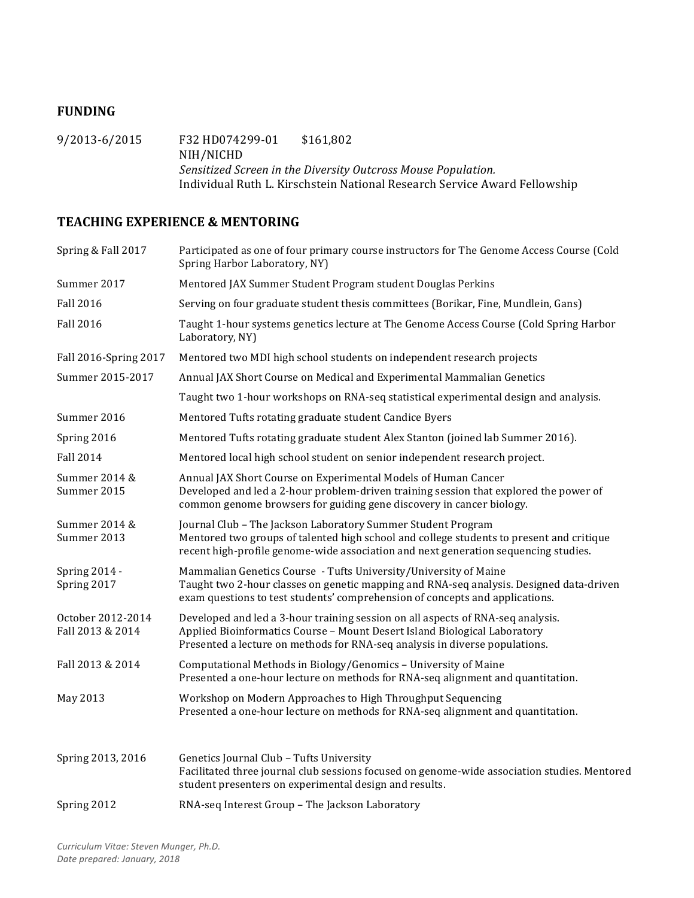## **FUNDING**

9/2013-6/2015 F32 HD074299-01 \$161,802 NIH/NICHD *Sensitized Screen in the Diversity Outcross Mouse Population.* Individual Ruth L. Kirschstein National Research Service Award Fellowship

## **TEACHING EXPERIENCE & MENTORING**

| Spring & Fall 2017                    | Participated as one of four primary course instructors for The Genome Access Course (Cold<br>Spring Harbor Laboratory, NY)                                                                                                                      |
|---------------------------------------|-------------------------------------------------------------------------------------------------------------------------------------------------------------------------------------------------------------------------------------------------|
| Summer 2017                           | Mentored JAX Summer Student Program student Douglas Perkins                                                                                                                                                                                     |
| <b>Fall 2016</b>                      | Serving on four graduate student thesis committees (Borikar, Fine, Mundlein, Gans)                                                                                                                                                              |
| <b>Fall 2016</b>                      | Taught 1-hour systems genetics lecture at The Genome Access Course (Cold Spring Harbor<br>Laboratory, NY)                                                                                                                                       |
| Fall 2016-Spring 2017                 | Mentored two MDI high school students on independent research projects                                                                                                                                                                          |
| Summer 2015-2017                      | Annual JAX Short Course on Medical and Experimental Mammalian Genetics                                                                                                                                                                          |
|                                       | Taught two 1-hour workshops on RNA-seq statistical experimental design and analysis.                                                                                                                                                            |
| Summer 2016                           | Mentored Tufts rotating graduate student Candice Byers                                                                                                                                                                                          |
| Spring 2016                           | Mentored Tufts rotating graduate student Alex Stanton (joined lab Summer 2016).                                                                                                                                                                 |
| <b>Fall 2014</b>                      | Mentored local high school student on senior independent research project.                                                                                                                                                                      |
| Summer 2014 &<br>Summer 2015          | Annual JAX Short Course on Experimental Models of Human Cancer<br>Developed and led a 2-hour problem-driven training session that explored the power of<br>common genome browsers for guiding gene discovery in cancer biology.                 |
| Summer 2014 &<br>Summer 2013          | Journal Club - The Jackson Laboratory Summer Student Program<br>Mentored two groups of talented high school and college students to present and critique<br>recent high-profile genome-wide association and next generation sequencing studies. |
| Spring 2014 -<br>Spring 2017          | Mammalian Genetics Course - Tufts University/University of Maine<br>Taught two 2-hour classes on genetic mapping and RNA-seq analysis. Designed data-driven<br>exam questions to test students' comprehension of concepts and applications.     |
| October 2012-2014<br>Fall 2013 & 2014 | Developed and led a 3-hour training session on all aspects of RNA-seq analysis.<br>Applied Bioinformatics Course - Mount Desert Island Biological Laboratory<br>Presented a lecture on methods for RNA-seq analysis in diverse populations.     |
| Fall 2013 & 2014                      | Computational Methods in Biology/Genomics - University of Maine<br>Presented a one-hour lecture on methods for RNA-seq alignment and quantitation.                                                                                              |
| May 2013                              | Workshop on Modern Approaches to High Throughput Sequencing<br>Presented a one-hour lecture on methods for RNA-seq alignment and quantitation.                                                                                                  |
| Spring 2013, 2016                     | Genetics Journal Club - Tufts University<br>Facilitated three journal club sessions focused on genome-wide association studies. Mentored<br>student presenters on experimental design and results.                                              |
| Spring 2012                           | RNA-seq Interest Group - The Jackson Laboratory                                                                                                                                                                                                 |